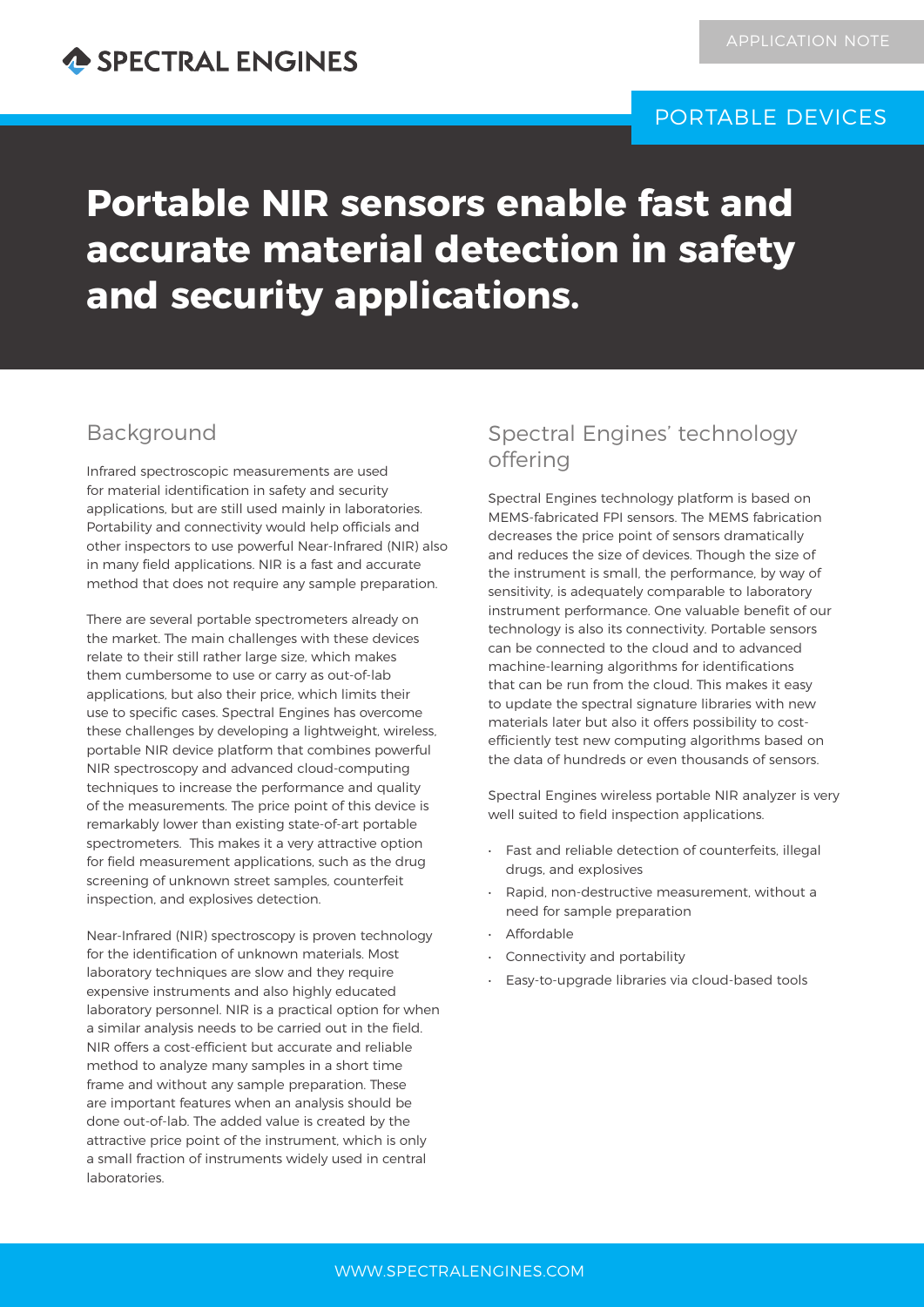# PORTABLE DEVICES

# **Portable NIR sensors enable fast and accurate material detection in safety and security applications.**

## Background

Infrared spectroscopic measurements are used for material identification in safety and security applications, but are still used mainly in laboratories. Portability and connectivity would help officials and other inspectors to use powerful Near-Infrared (NIR) also in many field applications. NIR is a fast and accurate method that does not require any sample preparation.

There are several portable spectrometers already on the market. The main challenges with these devices relate to their still rather large size, which makes them cumbersome to use or carry as out-of-lab applications, but also their price, which limits their use to specific cases. Spectral Engines has overcome these challenges by developing a lightweight, wireless, portable NIR device platform that combines powerful NIR spectroscopy and advanced cloud-computing techniques to increase the performance and quality of the measurements. The price point of this device is remarkably lower than existing state-of-art portable spectrometers. This makes it a very attractive option for field measurement applications, such as the drug screening of unknown street samples, counterfeit inspection, and explosives detection.

Near-Infrared (NIR) spectroscopy is proven technology for the identification of unknown materials. Most laboratory techniques are slow and they require expensive instruments and also highly educated laboratory personnel. NIR is a practical option for when a similar analysis needs to be carried out in the field. NIR offers a cost-efficient but accurate and reliable method to analyze many samples in a short time frame and without any sample preparation. These are important features when an analysis should be done out-of-lab. The added value is created by the attractive price point of the instrument, which is only a small fraction of instruments widely used in central laboratories.

# Spectral Engines' technology offering

Spectral Engines technology platform is based on MEMS-fabricated FPI sensors. The MEMS fabrication decreases the price point of sensors dramatically and reduces the size of devices. Though the size of the instrument is small, the performance, by way of sensitivity, is adequately comparable to laboratory instrument performance. One valuable benefit of our technology is also its connectivity. Portable sensors can be connected to the cloud and to advanced machine-learning algorithms for identifications that can be run from the cloud. This makes it easy to update the spectral signature libraries with new materials later but also it offers possibility to costefficiently test new computing algorithms based on the data of hundreds or even thousands of sensors.

Spectral Engines wireless portable NIR analyzer is very well suited to field inspection applications.

- Fast and reliable detection of counterfeits, illegal drugs, and explosives
- Rapid, non-destructive measurement, without a need for sample preparation
- **Affordable**
- Connectivity and portability
- Easy-to-upgrade libraries via cloud-based tools